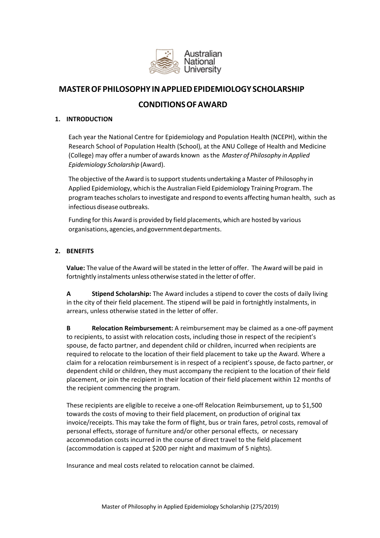

# **MASTEROF PHILOSOPHY INAPPLIEDEPIDEMIOLOGY SCHOLARSHIP**

# **CONDITIONSOFAWARD**

# **1. INTRODUCTION**

Each year the National Centre for Epidemiology and Population Health (NCEPH), within the Research School of Population Health (School), at the ANU College of Health and Medicine (College) may offer a number of awards known asthe *Master of Philosophy in Applied Epidemiology Scholarship* (Award).

The objective of the Award is to support students undertaking a Master of Philosophy in Applied Epidemiology, which isthe Australian Field Epidemiology Training Program. The program teaches scholars to investigate and respond to events affecting human health, such as infectious disease outbreaks.

Funding for this Award is provided by field placements, which are hosted by various organisations,agencies,andgovernmentdepartments.

# **2. BENEFITS**

**Value:** The value of the Award will be stated in the letter of offer. The Award will be paid in fortnightly instalments unless otherwise stated in the letter of offer.

**A Stipend Scholarship:** The Award includes a stipend to cover the costs of daily living in the city of their field placement. The stipend will be paid in fortnightly instalments, in arrears, unless otherwise stated in the letter of offer.

**B Relocation Reimbursement:** A reimbursement may be claimed as a one-off payment to recipients, to assist with relocation costs, including those in respect of the recipient's spouse, de facto partner, and dependent child or children, incurred when recipients are required to relocate to the location of their field placement to take up the Award. Where a claim for a relocation reimbursement is in respect of a recipient's spouse, de facto partner, or dependent child or children, they must accompany the recipient to the location of their field placement, or join the recipient in their location of their field placement within 12 months of the recipient commencing the program.

These recipients are eligible to receive a one-off Relocation Reimbursement, up to \$1,500 towards the costs of moving to their field placement, on production of original tax invoice/receipts. This may take the form of flight, bus or train fares, petrol costs, removal of personal effects, storage of furniture and/or other personal effects, or necessary accommodation costs incurred in the course of direct travel to the field placement (accommodation is capped at \$200 per night and maximum of 5 nights).

Insurance and meal costs related to relocation cannot be claimed.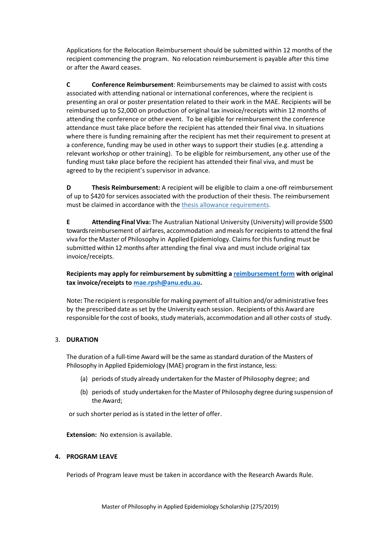Applications for the Relocation Reimbursement should be submitted within 12 months of the recipient commencing the program. No relocation reimbursement is payable after this time or after the Award ceases.

**C Conference Reimbursement**: Reimbursements may be claimed to assist with costs associated with attending national or international conferences, where the recipient is presenting an oral or poster presentation related to their work in the MAE. Recipients will be reimbursed up to \$2,000 on production of original tax invoice/receipts within 12 months of attending the conference or other event. To be eligible for reimbursement the conference attendance must take place before the recipient has attended their final viva. In situations where there is funding remaining after the recipient has met their requirement to present at a conference, funding may be used in other ways to support their studies (e.g. attending a relevant workshop or other training). To be eligible for reimbursement, any other use of the funding must take place before the recipient has attended their final viva, and must be agreed to by the recipient's supervisor in advance.

**D Thesis Reimbursement:** A recipient will be eligible to claim a one-off reimbursement of up to \$420 for services associated with the production of their thesis. The reimbursement must be claimed in accordance with the [thesis allowance requirements.](http://www.anu.edu.au/students/program-administration/assessments-exams/theses-reimbursement)

**E Attending Final Viva:** The Australian National University (University) will provide \$500 towards reimbursement of airfares, accommodation and meals for recipients to attend the final viva forthe Master of Philosophy in Applied Epidemiology. Claimsfor this funding must be submitted within 12 months after attending the final viva and must include original tax invoice/receipts.

**Recipients may apply for reimbursement by submitting a [reimbursement form](https://policies.anu.edu.au/ppl/download/ANUP_001012) with original tax invoice/receipts to [mae.rpsh@anu.edu.au.](mailto:mae.rpsh@anu.edu.au)**

Note**:** The recipient isresponsible for making payment of alltuition and/or administrative fees by the prescribed date asset by the University each session. Recipients of this Award are responsible for the cost of books, study materials, accommodation and all other costs of study.

# 3. **DURATION**

The duration of a full-time Award will be the same asstandard duration of the Masters of Philosophy in Applied Epidemiology (MAE) program in the first instance, less:

- (a) periods ofstudy already undertaken for the Master of Philosophy degree; and
- (b) periods of study undertaken for the Master of Philosophy degree during suspension of the Award;

or such shorter period as is stated in the letter of offer.

**Extension:** No extension is available.

# **4. PROGRAM LEAVE**

Periods of Program leave must be taken in accordance with the Research Awards Rule.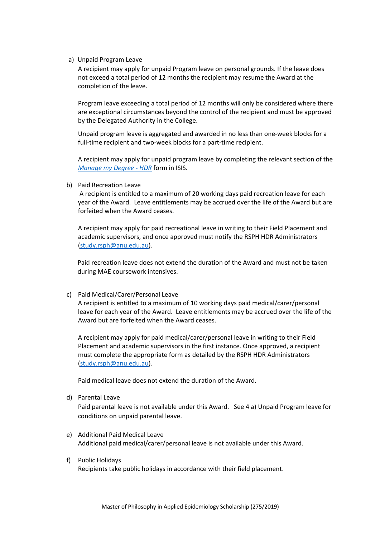a) Unpaid Program Leave

A recipient may apply for unpaid Program leave on personal grounds. If the leave does not exceed a total period of 12 months the recipient may resume the Award at the completion of the leave.

Program leave exceeding a total period of 12 months will only be considered where there are exceptional circumstances beyond the control of the recipient and must be approved by the Delegated Authority in the College.

Unpaid program leave is aggregated and awarded in no less than one-week blocks for a full-time recipient and two-week blocks for a part-time recipient.

A recipient may apply for unpaid program leave by completing the relevant section of the *[Manage my Degree -](https://isis.anu.edu.au/psp/sscsprod/?cmd=login&languageCd=ENG) HDR* form in ISIS.

b) Paid Recreation Leave

A recipient is entitled to a maximum of 20 working days paid recreation leave for each year of the Award. Leave entitlements may be accrued over the life of the Award but are forfeited when the Award ceases.

A recipient may apply for paid recreational leave in writing to their Field Placement and academic supervisors, and once approved must notify the RSPH HDR Administrators [\(study.rsph@anu.edu.au\)](mailto:study.rsph@anu.edu.au).

Paid recreation leave does not extend the duration of the Award and must not be taken during MAE coursework intensives.

#### c) Paid Medical/Carer/Personal Leave

A recipient is entitled to a maximum of 10 working days paid medical/carer/personal leave for each year of the Award. Leave entitlements may be accrued over the life of the Award but are forfeited when the Award ceases.

A recipient may apply for paid medical/carer/personal leave in writing to their Field Placement and academic supervisors in the first instance. Once approved, a recipient must complete the appropriate form as detailed by the RSPH HDR Administrators [\(study.rsph@anu.edu.au\)](mailto:study.rsph@anu.edu.au).

Paid medical leave does not extend the duration of the Award.

d) Parental Leave

Paid parental leave is not available under this Award. See 4 a) Unpaid Program leave for conditions on unpaid parental leave.

- e) Additional Paid Medical Leave Additional paid medical/carer/personal leave is not available under this Award.
- f) Public Holidays Recipients take public holidays in accordance with their field placement.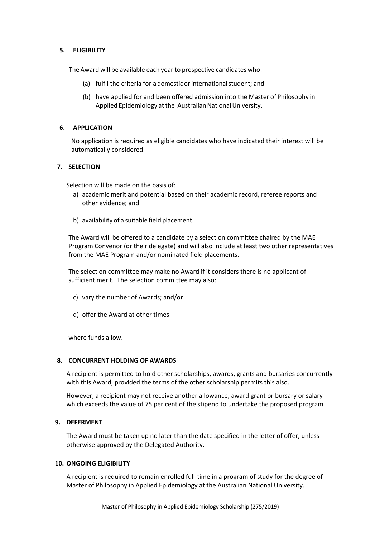# **5. ELIGIBILITY**

The Award will be available each year to prospective candidates who:

- (a) fulfil the criteria for a domestic or international student; and
- (b) have applied for and been offered admission into the Master of Philosophy in Applied Epidemiology at the Australian National University.

## **6. APPLICATION**

No application is required as eligible candidates who have indicated their interest will be automatically considered.

## **7. SELECTION**

Selection will be made on the basis of:

- a) academic merit and potential based on their academic record, referee reports and other evidence; and
- b) availability of a suitable field placement.

The Award will be offered to a candidate by a selection committee chaired by the MAE Program Convenor (or their delegate) and will also include at least two other representatives from the MAE Program and/or nominated field placements.

The selection committee may make no Award if it considers there is no applicant of sufficient merit. The selection committee may also:

- c) vary the number of Awards; and/or
- d) offer the Award at other times

where funds allow.

#### **8. CONCURRENT HOLDING OF AWARDS**

A recipient is permitted to hold other scholarships, awards, grants and bursaries concurrently with this Award, provided the terms of the other scholarship permits this also.

However, a recipient may not receive another allowance, award grant or bursary or salary which exceeds the value of 75 per cent of the stipend to undertake the proposed program.

#### **9. DEFERMENT**

The Award must be taken up no later than the date specified in the letter of offer, unless otherwise approved by the Delegated Authority.

#### **10. ONGOING ELIGIBILITY**

A recipient is required to remain enrolled full-time in a program of study for the degree of Master of Philosophy in Applied Epidemiology at the Australian National University.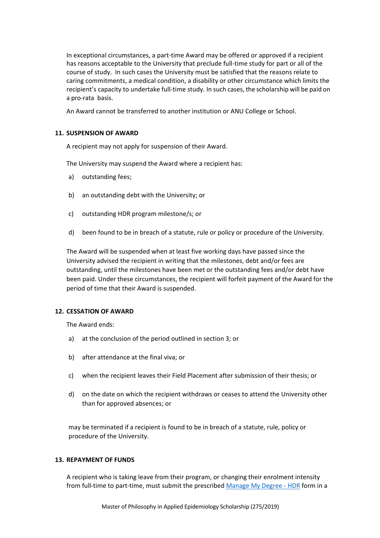In exceptional circumstances, a part-time Award may be offered or approved if a recipient has reasons acceptable to the University that preclude full-time study for part or all of the course of study. In such cases the University must be satisfied that the reasons relate to caring commitments, a medical condition, a disability or other circumstance which limits the recipient's capacity to undertake full-time study. In such cases, the scholarship will be paid on a pro-rata basis.

An Award cannot be transferred to another institution or ANU College or School.

# **11. SUSPENSION OF AWARD**

A recipient may not apply for suspension of their Award.

The University may suspend the Award where a recipient has:

- a) outstanding fees;
- b) an outstanding debt with the University; or
- c) outstanding HDR program milestone/s; or
- d) been found to be in breach of a statute, rule or policy or procedure of the University.

The Award will be suspended when at least five working days have passed since the University advised the recipient in writing that the milestones, debt and/or fees are outstanding, until the milestones have been met or the outstanding fees and/or debt have been paid. Under these circumstances, the recipient will forfeit payment of the Award for the period of time that their Award is suspended.

## **12. CESSATION OF AWARD**

The Award ends:

- a) at the conclusion of the period outlined in section 3; or
- b) after attendance at the final viva; or
- c) when the recipient leaves their Field Placement after submission of their thesis; or
- d) on the date on which the recipient withdraws or ceases to attend the University other than for approved absences; or

may be terminated if a recipient is found to be in breach of a statute, rule, policy or procedure of the University.

### **13. REPAYMENT OF FUNDS**

A recipient who is taking leave from their program, or changing their enrolment intensity from full-time to part-time, must submit the prescribed [Manage My Degree -](http://www.anu.edu.au/students/program-administration/program-management/student-administration-eforms) HDR form in a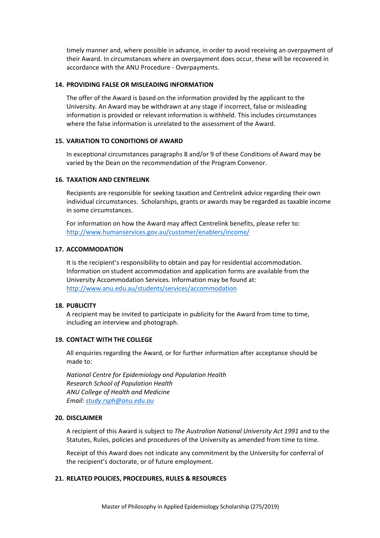timely manner and, where possible in advance, in order to avoid receiving an overpayment of their Award. In circumstances where an overpayment does occur, these will be recovered in accordance with the ANU Procedure - Overpayments.

### **14. PROVIDING FALSE OR MISLEADING INFORMATION**

The offer of the Award is based on the information provided by the applicant to the University. An Award may be withdrawn at any stage if incorrect, false or misleading information is provided or relevant information is withheld. This includes circumstances where the false information is unrelated to the assessment of the Award.

# **15. VARIATION TO CONDITIONS OF AWARD**

In exceptional circumstances paragraphs 8 and/or 9 of these Conditions of Award may be varied by the Dean on the recommendation of the Program Convenor.

# **16. TAXATION AND CENTRELINK**

Recipients are responsible for seeking taxation and Centrelink advice regarding their own individual circumstances. Scholarships, grants or awards may be regarded as taxable income in some circumstances.

For information on how the Award may affect Centrelink benefits, please refer to: <http://www.humanservices.gov.au/customer/enablers/income/>

#### **17. ACCOMMODATION**

It is the recipient's responsibility to obtain and pay for residential accommodation. Information on student accommodation and application forms are available from the University Accommodation Services. Information may be found at: <http://www.anu.edu.au/students/services/accommodation>

### **18. PUBLICITY**

A recipient may be invited to participate in publicity for the Award from time to time, including an interview and photograph.

# **19. CONTACT WITH THE COLLEGE**

All enquiries regarding the Award, or for further information after acceptance should be made to:

*National Centre for Epidemiology and Population Health Research School of Population Health ANU College of Health and Medicine Email: [study.rsph@anu.edu.au](mailto:study.rsph@anu.edu.au)*

### **20. DISCLAIMER**

A recipient of this Award is subject to *The Australian National University Act 1991* and to the Statutes, Rules, policies and procedures of the University as amended from time to time.

Receipt of this Award does not indicate any commitment by the University for conferral of the recipient's doctorate, or of future employment.

#### **21. RELATED POLICIES, PROCEDURES, RULES & RESOURCES**